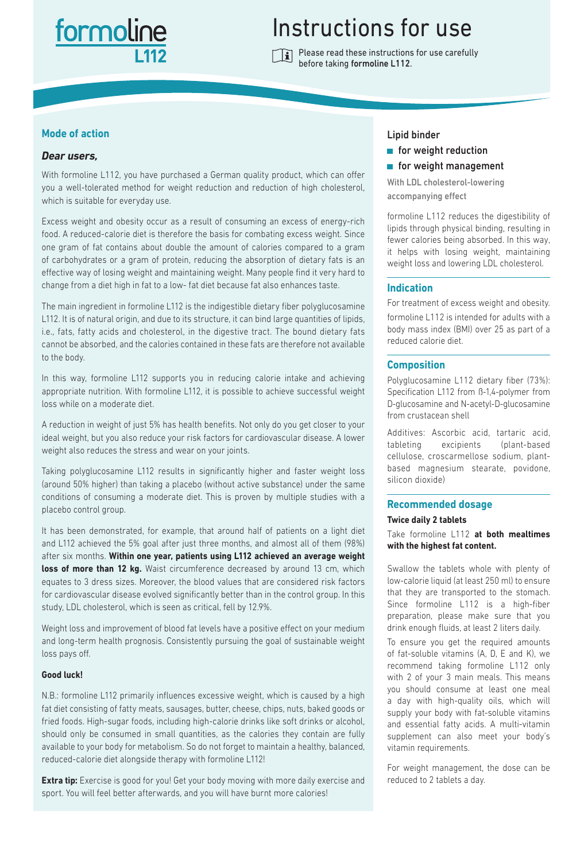# formolin

# Instructions for use

Please read these instructions for use carefully before taking formoline L112.

# **Mode of action**

# *Dear users,*

With formoline L112, you have purchased a German quality product, which can offer you a well-tolerated method for weight reduction and reduction of high cholesterol, which is suitable for everyday use.

Excess weight and obesity occur as a result of consuming an excess of energy-rich food. A reduced-calorie diet is therefore the basis for combating excess weight. Since one gram of fat contains about double the amount of calories compared to a gram of carbohydrates or a gram of protein, reducing the absorption of dietary fats is an effective way of losing weight and maintaining weight. Many people find it very hard to change from a diet high in fat to a low- fat diet because fat also enhances taste.

The main ingredient in formoline L112 is the indigestible dietary fiber polyglucosamine L112. It is of natural origin, and due to its structure, it can bind large quantities of lipids, i.e., fats, fatty acids and cholesterol, in the digestive tract. The bound dietary fats cannot be absorbed, and the calories contained in these fats are therefore not available to the body.

In this way, formoline L112 supports you in reducing calorie intake and achieving appropriate nutrition. With formoline L112, it is possible to achieve successful weight loss while on a moderate diet.

A reduction in weight of just 5% has health benefits. Not only do you get closer to your ideal weight, but you also reduce your risk factors for cardiovascular disease. A lower weight also reduces the stress and wear on your joints.

Taking polyglucosamine L112 results in significantly higher and faster weight loss (around 50% higher) than taking a placebo (without active substance) under the same conditions of consuming a moderate diet. This is proven by multiple studies with a placebo control group.

It has been demonstrated, for example, that around half of patients on a light diet and L112 achieved the 5% goal after just three months, and almost all of them (98%) after six months. **Within one year, patients using L112 achieved an average weight**  loss of more than 12 kg. Waist circumference decreased by around 13 cm, which equates to 3 dress sizes. Moreover, the blood values that are considered risk factors for cardiovascular disease evolved significantly better than in the control group. In this study, LDL cholesterol, which is seen as critical, fell by 12.9%.

Weight loss and improvement of blood fat levels have a positive effect on your medium and long-term health prognosis. Consistently pursuing the goal of sustainable weight loss pays off.

# **Good luck!**

N.B.: formoline L112 primarily influences excessive weight, which is caused by a high fat diet consisting of fatty meats, sausages, butter, cheese, chips, nuts, baked goods or fried foods. High-sugar foods, including high-calorie drinks like soft drinks or alcohol, should only be consumed in small quantities, as the calories they contain are fully available to your body for metabolism. So do not forget to maintain a healthy, balanced, reduced-calorie diet alongside therapy with formoline L112!

**Extra tip:** Exercise is good for you! Get your body moving with more daily exercise and sport. You will feel better afterwards, and you will have burnt more calories!

# Lipid binder

- $\blacksquare$  for weight reduction
- **for weight management**

With LDL cholesterol-lowering accompanying effect

formoline L112 reduces the digestibility of lipids through physical binding, resulting in fewer calories being absorbed. In this way, it helps with losing weight, maintaining weight loss and lowering LDL cholesterol.

# **Indication**

For treatment of excess weight and obesity.

formoline L112 is intended for adults with a body mass index (BMI) over 25 as part of a reduced calorie diet.

# **Composition**

Polyglucosamine L112 dietary fiber (73%): Specification L112 from ß-1,4-polymer from D-glucosamine and N-acetyl-D-glucosamine from crustacean shell

Additives: Ascorbic acid, tartaric acid, tableting excipients (plant-based cellulose, croscarmellose sodium, plantbased magnesium stearate, povidone, silicon dioxide)

# **Recommended dosage**

#### **Twice daily 2 tablets**

Take formoline L112 **at both mealtimes with the highest fat content.**

Swallow the tablets whole with plenty of low-calorie liquid (at least 250 ml) to ensure that they are transported to the stomach. Since formoline L112 is a high-fiber preparation, please make sure that you drink enough fluids, at least 2 liters daily.

To ensure you get the required amounts of fat-soluble vitamins (A, D, E and K), we recommend taking formoline L112 only with 2 of your 3 main meals. This means you should consume at least one meal a day with high-quality oils, which will supply your body with fat-soluble vitamins and essential fatty acids. A multi-vitamin supplement can also meet your body's vitamin requirements.

For weight management, the dose can be reduced to 2 tablets a day.